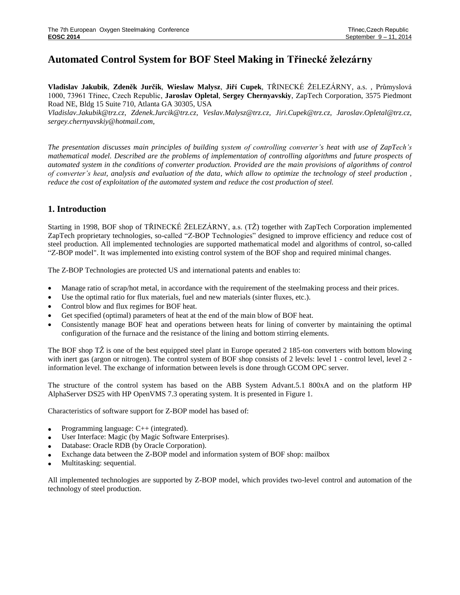# **Automated Control System for BOF Steel Making in Třinecké železárny**

**Vladislav Jakubik**, **Zdeněk Jurčik**, **Wieslaw Malysz**, **Jiří Cupek**, TŘINECKÉ ŽELEZÁRNY, a.s. , Průmyslová 1000, 73961 Třinec, Czech Republic, **Jaroslav Opletal**, **Sergey Chernyavskiy**, ZapTech Corporation, 3575 Piedmont Road NE, Bldg 15 Suite 710, Atlanta GA 30305, USA

*[Vladislav.Jakubik@trz.cz,](mailto:Vladislav.Jakubik@trz.cz) [Zdenek.Jurcik@trz.cz,](mailto:Zdenek.Jurcik@trz.cz) [Veslav.Malysz@trz.cz,](mailto:Veslav.Malysz@trz.cz) [Jiri.Cupek@trz.cz,](mailto:Jiri.Cupek@trz.cz) Jaroslav.Opletal@trz.cz, [sergey.chernyavskiy@hotmail.com,](mailto:sergey.chernyavskiy@hotmail.com)*

*The presentation discusses main principles of building system of controlling converter's heat with use of ZapTech's mathematical model. Described are the problems of implementation of controlling algorithms and future prospects of automated system in the conditions of converter production. Provided are the main provisions of algorithms of control of converter's heat, analysis and evaluation of the data, which allow to optimize the technology of steel production , reduce the cost of exploitation of the automated system and reduce the cost production of steel.*

# **1. Introduction**

Starting in 1998, BOF shop of TŘINECKÉ ŽELEZÁRNY, a.s. (TŽ) together with ZapTech Corporation implemented ZapTech proprietary technologies, so-called "Z-BOP Technologies" designed to improve efficiency and reduce cost of steel production. All implemented technologies are supported mathematical model and algorithms of control, so-called "Z-BOP model". It was implemented into existing control system of the BOF shop and required minimal changes.

The Z-BOP Technologies are protected US and international patents and enables to:

- Manage ratio of scrap/hot metal, in accordance with the requirement of the steelmaking process and their prices.
- Use the optimal ratio for flux materials, fuel and new materials (sinter fluxes, etc.).
- Control blow and flux regimes for BOF heat.
- Get specified (optimal) parameters of heat at the end of the main blow of BOF heat.
- Consistently manage BOF heat and operations between heats for lining of converter by maintaining the optimal configuration of the furnace and the resistance of the lining and bottom stirring elements.

The BOF shop TŽ is one of the best equipped steel plant in Europe operated 2 185-ton converters with bottom blowing with inert gas (argon or nitrogen). The control system of BOF shop consists of 2 levels: level 1 - control level, level 2 information level. The exchange of information between levels is done through GCOM OPC server.

The structure of the control system has based on the ABB System Advant.5.1 800xA and on the platform HP AlphaServer DS25 with HP OpenVMS 7.3 operating system. It is presented in Figure 1.

Characteristics of software support for Z-BOP model has based of:

- Programming language: C++ (integrated).
- User Interface: Magic (by Magic Software Enterprises).
- Database: Oracle RDB (by Oracle Corporation).
- Exchange data between the Z-BOP model and information system of BOF shop: mailbox
- Multitasking: sequential.

All implemented technologies are supported by Z-BOP model, which provides two-level control and automation of the technology of steel production.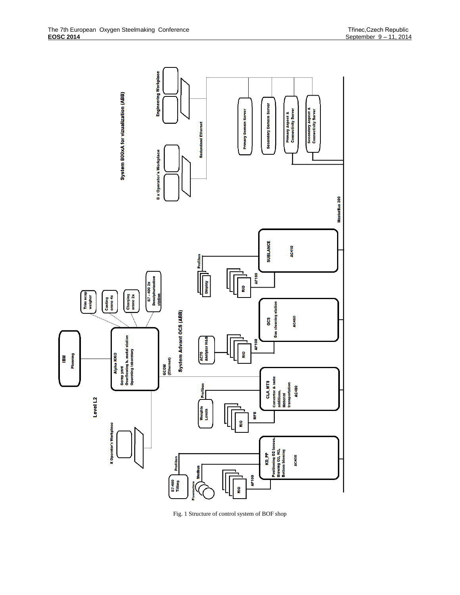

Fig. 1 Structure of control system of BOF shop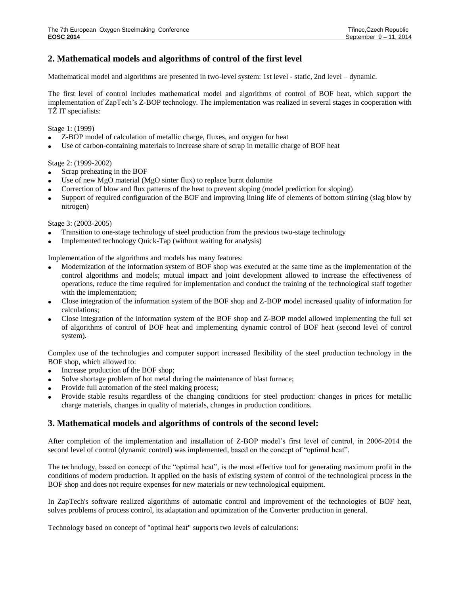# **2. Mathematical models and algorithms of control of the first level**

Mathematical model and algorithms are presented in two-level system: 1st level - static, 2nd level – dynamic.

The first level of control includes mathematical model and algorithms of control of BOF heat, which support the implementation of ZapTech's Z-BOP technology. The implementation was realized in several stages in cooperation with TŽ IT specialists:

Stage 1: (1999)

- Z-BOP model of calculation of metallic charge, fluxes, and oxygen for heat
- Use of carbon-containing materials to increase share of scrap in metallic charge of BOF heat

Stage 2: (1999-2002)

- Scrap preheating in the BOF
- Use of new MgO material (MgO sinter flux) to replace burnt dolomite
- Correction of blow and flux patterns of the heat to prevent sloping (model prediction for sloping)
- Support of required configuration of the BOF and improving lining life of elements of bottom stirring (slag blow by nitrogen)

Stage 3: (2003-2005)

- Transition to one-stage technology of steel production from the previous two-stage technology
- Implemented technology Quick-Tap (without waiting for analysis)

Implementation of the algorithms and models has many features:

- Modernization of the information system of BOF shop was executed at the same time as the implementation of the control algorithms and models; mutual impact and joint development allowed to increase the effectiveness of operations, reduce the time required for implementation and conduct the training of the technological staff together with the implementation;
- Close integration of the information system of the BOF shop and Z-BOP model increased quality of information for calculations;
- Close integration of the information system of the BOF shop and Z-BOP model allowed implementing the full set of algorithms of control of BOF heat and implementing dynamic control of BOF heat (second level of control system).

Complex use of the technologies and computer support increased flexibility of the steel production technology in the BOF shop, which allowed to:

- Increase production of the BOF shop;
- Solve shortage problem of hot metal during the maintenance of blast furnace;
- Provide full automation of the steel making process;
- Provide stable results regardless of the changing conditions for steel production: changes in prices for metallic charge materials, changes in quality of materials, changes in production conditions.

### **3. Mathematical models and algorithms of controls of the second level:**

After completion of the implementation and installation of Z-BOP model's first level of control, in 2006-2014 the second level of control (dynamic control) was implemented, based on the concept of "optimal heat".

The technology, based on concept of the "optimal heat", is the most effective tool for generating maximum profit in the conditions of modern production. It applied on the basis of existing system of control of the technological process in the BOF shop and does not require expenses for new materials or new technological equipment.

In ZapTech's software realized algorithms of automatic control and improvement of the technologies of BOF heat, solves problems of process control, its adaptation and optimization of the Converter production in general.

Technology based on concept of "optimal heat" supports two levels of calculations: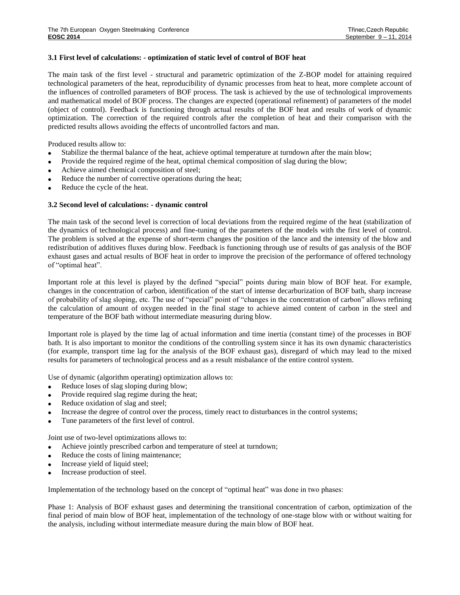#### **3.1 First level of calculations: - optimization of static level of control of BOF heat**

The main task of the first level - structural and parametric optimization of the Z-BOP model for attaining required technological parameters of the heat, reproducibility of dynamic processes from heat to heat, more complete account of the influences of controlled parameters of BOF process. The task is achieved by the use of technological improvements and mathematical model of BOF process. The changes are expected (operational refinement) of parameters of the model (object of control). Feedback is functioning through actual results of the BOF heat and results of work of dynamic optimization. The correction of the required controls after the completion of heat and their comparison with the predicted results allows avoiding the effects of uncontrolled factors and man.

Produced results allow to:

- Stabilize the thermal balance of the heat, achieve optimal temperature at turndown after the main blow;
- Provide the required regime of the heat, optimal chemical composition of slag during the blow;
- Achieve aimed chemical composition of steel;
- Reduce the number of corrective operations during the heat;
- Reduce the cycle of the heat.

#### **3.2 Second level of calculations: - dynamic control**

The main task of the second level is correction of local deviations from the required regime of the heat (stabilization of the dynamics of technological process) and fine-tuning of the parameters of the models with the first level of control. The problem is solved at the expense of short-term changes the position of the lance and the intensity of the blow and redistribution of additives fluxes during blow. Feedback is functioning through use of results of gas analysis of the BOF exhaust gases and actual results of BOF heat in order to improve the precision of the performance of offered technology of "optimal heat".

Important role at this level is played by the defined "special" points during main blow of BOF heat. For example, changes in the concentration of carbon, identification of the start of intense decarburization of BOF bath, sharp increase of probability of slag sloping, etc. The use of "special" point of "changes in the concentration of carbon" allows refining the calculation of amount of oxygen needed in the final stage to achieve aimed content of carbon in the steel and temperature of the BOF bath without intermediate measuring during blow.

Important role is played by the time lag of actual information and time inertia (constant time) of the processes in BOF bath. It is also important to monitor the conditions of the controlling system since it has its own dynamic characteristics (for example, transport time lag for the analysis of the BOF exhaust gas), disregard of which may lead to the mixed results for parameters of technological process and as a result misbalance of the entire control system.

Use of dynamic (algorithm operating) optimization allows to:

- Reduce loses of slag sloping during blow;
- Provide required slag regime during the heat;
- Reduce oxidation of slag and steel;
- Increase the degree of control over the process, timely react to disturbances in the control systems;
- Tune parameters of the first level of control.

Joint use of two-level optimizations allows to:

- Achieve jointly prescribed carbon and temperature of steel at turndown;
- Reduce the costs of lining maintenance;
- Increase yield of liquid steel;
- Increase production of steel.

Implementation of the technology based on the concept of "optimal heat" was done in two phases:

Phase 1: Analysis of BOF exhaust gases and determining the transitional concentration of carbon, optimization of the final period of main blow of BOF heat, implementation of the technology of one-stage blow with or without waiting for the analysis, including without intermediate measure during the main blow of BOF heat.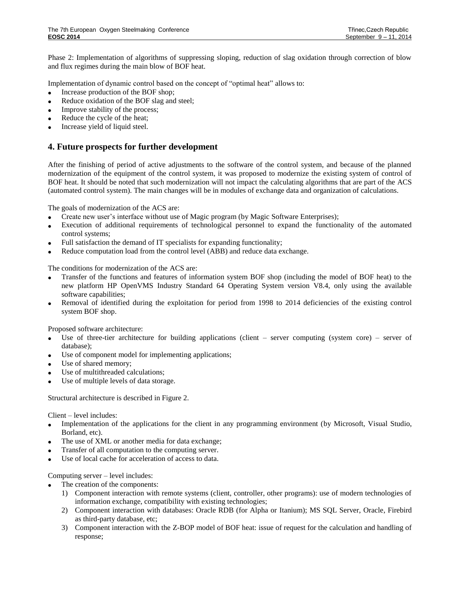Phase 2: Implementation of algorithms of suppressing sloping, reduction of slag oxidation through correction of blow and flux regimes during the main blow of BOF heat.

Implementation of dynamic control based on the concept of "optimal heat" allows to:

- Increase production of the BOF shop;
- Reduce oxidation of the BOF slag and steel;
- Improve stability of the process;
- Reduce the cycle of the heat;
- Increase yield of liquid steel.

## **4. Future prospects for further development**

After the finishing of period of active adjustments to the software of the control system, and because of the planned modernization of the equipment of the control system, it was proposed to modernize the existing system of control of BOF heat. It should be noted that such modernization will not impact the calculating algorithms that are part of the ACS (automated control system). The main changes will be in modules of exchange data and organization of calculations.

The goals of modernization of the ACS are:

- Create new user's interface without use of Magic program (by Magic Software Enterprises);
- Execution of additional requirements of technological personnel to expand the functionality of the automated control systems;
- Full satisfaction the demand of IT specialists for expanding functionality;
- Reduce computation load from the control level (ABB) and reduce data exchange.

The conditions for modernization of the ACS are:

- Transfer of the functions and features of information system BOF shop (including the model of BOF heat) to the new platform HP OpenVMS Industry Standard 64 Operating System version V8.4, only using the available software capabilities;
- Removal of identified during the exploitation for period from 1998 to 2014 deficiencies of the existing control system BOF shop.

Proposed software architecture:

- Use of three-tier architecture for building applications (client server computing (system core) server of database);
- Use of component model for implementing applications;
- Use of shared memory;
- Use of multithreaded calculations;
- Use of multiple levels of data storage.

Structural architecture is described in Figure 2.

Client – level includes:

- Implementation of the applications for the client in any programming environment (by Microsoft, Visual Studio, Borland, etc).
- The use of XML or another media for data exchange;
- Transfer of all computation to the computing server.
- Use of local cache for acceleration of access to data.

Computing server – level includes:

- The creation of the components:
	- 1) Component interaction with remote systems (client, controller, other programs): use of modern technologies of information exchange, compatibility with existing technologies;
	- 2) Component interaction with databases: Oracle RDB (for Alpha or Itanium); MS SQL Server, Oracle, Firebird as third-party database, etc;
	- 3) Component interaction with the Z-BOP model of BOF heat: issue of request for the calculation and handling of response;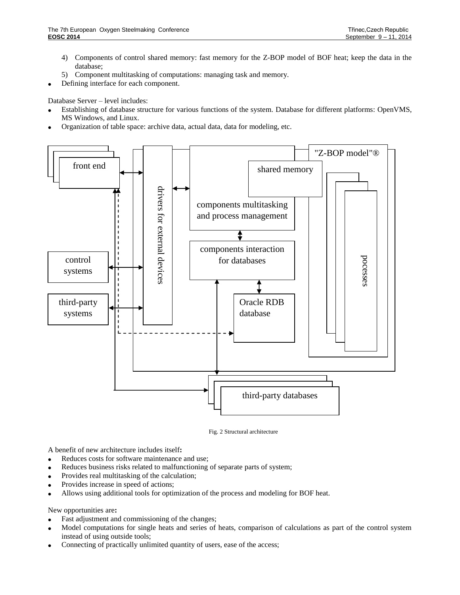- 4) Components of control shared memory: fast memory for the Z-BOP model of BOF heat; keep the data in the database;
- 5) Component multitasking of computations: managing task and memory.
- Defining interface for each component.

Database Server – level includes:

- Establishing of database structure for various functions of the system. Database for different platforms: OpenVMS, MS Windows, and Linux.
- Organization of table space: archive data, actual data, data for modeling, etc.



Fig. 2 Structural architecture

A benefit of new architecture includes itself**:**

- Reduces costs for software maintenance and use;
- Reduces business risks related to malfunctioning of separate parts of system;
- Provides real multitasking of the calculation;
- Provides increase in speed of actions;
- Allows using additional tools for optimization of the process and modeling for BOF heat.

New opportunities are**:**

- Fast adjustment and commissioning of the changes;
- Model computations for single heats and series of heats, comparison of calculations as part of the control system instead of using outside tools;
- Connecting of practically unlimited quantity of users, ease of the access;